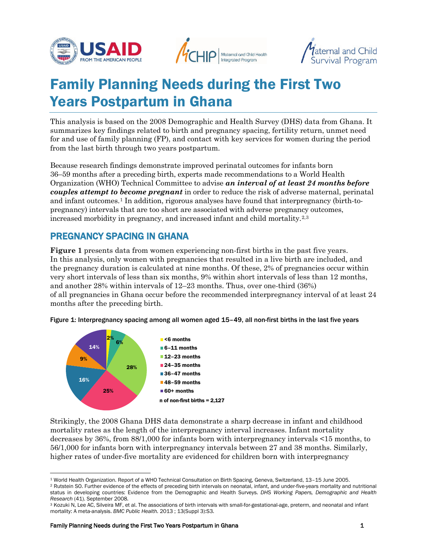





# Family Planning Needs during the First Two Years Postpartum in Ghana

This analysis is based on the 2008 Demographic and Health Survey (DHS) data from Ghana. It summarizes key findings related to birth and pregnancy spacing, fertility return, unmet need for and use of family planning (FP), and contact with key services for women during the period from the last birth through two years postpartum.

Because research findings demonstrate improved perinatal outcomes for infants born 36–59 months after a preceding birth, experts made recommendations to a World Health Organization (WHO) Technical Committee to advise *an interval of at least 24 months before couples attempt to become pregnant* in order to reduce the risk of adverse maternal, perinatal and infant outcomes.[1](#page-0-0) In addition, rigorous analyses have found that interpregnancy (birth-topregnancy) intervals that are too short are associated with adverse pregnancy outcomes, increased morbidity in pregnancy, and increased infant and child mortality.[2,](#page-0-1)[3](#page-0-2)

#### PREGNANCY SPACING IN GHANA

**Figure 1** presents data from women experiencing non-first births in the past five years. In this analysis, only women with pregnancies that resulted in a live birth are included, and the pregnancy duration is calculated at nine months. Of these, 2% of pregnancies occur within very short intervals of less than six months, 9% within short intervals of less than 12 months, and another 28% within intervals of 12–23 months. Thus, over one-third (36%) of all pregnancies in Ghana occur before the recommended interpregnancy interval of at least 24 months after the preceding birth.





Strikingly, the 2008 Ghana DHS data demonstrate a sharp decrease in infant and childhood mortality rates as the length of the interpregnancy interval increases. Infant mortality decreases by 36%, from 88/1,000 for infants born with interpregnancy intervals <15 months, to 56/1,000 for infants born with interpregnancy intervals between 27 and 38 months. Similarly, higher rates of under-five mortality are evidenced for children born with interpregnancy

 $\overline{a}$ <sup>1</sup> World Health Organization. Report of a WHO Technical Consultation on Birth Spacing, Geneva, Switzerland, 13–15 June 2005.

<span id="page-0-1"></span><span id="page-0-0"></span><sup>&</sup>lt;sup>2</sup> Rutstein SO. Further evidence of the effects of preceding birth intervals on neonatal, infant, and under-five-years mortality and nutritional status in developing countries: Evidence from the Demographic and Health Surveys. *DHS Working Papers, Demographic and Health Research* (41). September 2008.

<span id="page-0-2"></span><sup>&</sup>lt;sup>3</sup> Kozuki N, Lee AC, Silveira MF, et al. The associations of birth intervals with small-for-gestational-age, preterm, and neonatal and infant mortality: A meta-analysis. *BMC Public Health.* 2013 ; 13(Suppl 3):S3.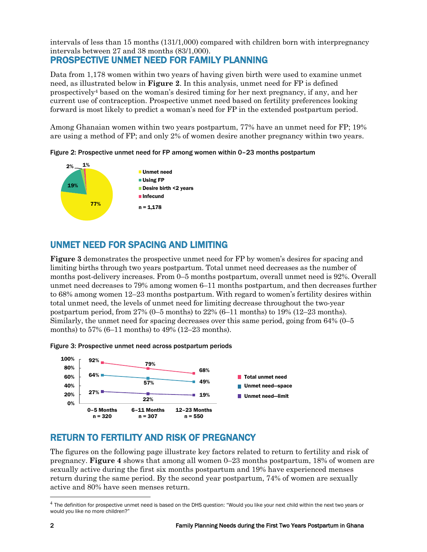intervals of less than 15 months (131/1,000) compared with children born with interpregnancy intervals between 27 and 38 months (83/1,000).

## PROSPECTIVE UNMET NEED FOR FAMILY PLANNING

Data from 1,178 women within two years of having given birth were used to examine unmet need, as illustrated below in **Figure 2**. In this analysis, unmet need for FP is defined prospectivel[y4](#page-1-0) based on the woman's desired timing for her next pregnancy, if any, and her current use of contraception. Prospective unmet need based on fertility preferences looking forward is most likely to predict a woman's need for FP in the extended postpartum period.

Among Ghanaian women within two years postpartum, 77% have an unmet need for FP; 19% are using a method of FP; and only 2% of women desire another pregnancy within two years.

Figure 2: Prospective unmet need for FP among women within 0–23 months postpartum



## UNMET NEED FOR SPACING AND LIMITING

**Figure 3** demonstrates the prospective unmet need for FP by women's desires for spacing and limiting births through two years postpartum. Total unmet need decreases as the number of months post-delivery increases. From 0–5 months postpartum, overall unmet need is 92%. Overall unmet need decreases to 79% among women 6–11 months postpartum, and then decreases further to 68% among women 12–23 months postpartum. With regard to women's fertility desires within total unmet need, the levels of unmet need for limiting decrease throughout the two-year postpartum period, from 27% (0–5 months) to 22% (6–11 months) to 19% (12–23 months). Similarly, the unmet need for spacing decreases over this same period, going from 64% (0–5 months) to 57% (6–11 months) to 49% (12–23 months).





## RETURN TO FERTILITY AND RISK OF PREGNANCY

The figures on the following page illustrate key factors related to return to fertility and risk of pregnancy. **Figure 4** shows that among all women 0–23 months postpartum, 18% of women are sexually active during the first six months postpartum and 19% have experienced menses return during the same period. By the second year postpartum, 74% of women are sexually active and 80% have seen menses return.

<span id="page-1-0"></span> $4$  The definition for prospective unmet need is based on the DHS question: "Would you like your next child within the next two years or would you like no more children?"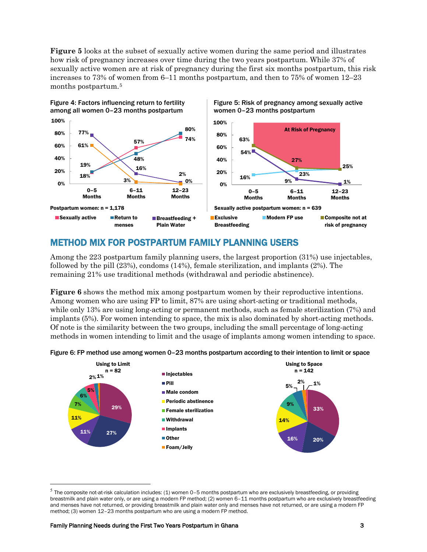**Figure 5** looks at the subset of sexually active women during the same period and illustrates how risk of pregnancy increases over time during the two years postpartum. While 37% of sexually active women are at risk of pregnancy during the first six months postpartum, this risk increases to 73% of women from 6–11 months postpartum, and then to 75% of women 12–23 months postpartum.[5](#page-2-0)



#### METHOD MIX FOR POSTPARTUM FAMILY PLANNING USERS

Among the 223 postpartum family planning users, the largest proportion (31%) use injectables, followed by the pill (23%), condoms (14%), female sterilization, and implants (2%). The remaining 21% use traditional methods (withdrawal and periodic abstinence).

**Figure 6** shows the method mix among postpartum women by their reproductive intentions. Among women who are using FP to limit, 87% are using short-acting or traditional methods, while only 13% are using long-acting or permanent methods, such as female sterilization (7%) and implants (5%). For women intending to space, the mix is also dominated by short-acting methods. Of note is the similarity between the two groups, including the small percentage of long-acting methods in women intending to limit and the usage of implants among women intending to space.





<span id="page-2-0"></span> $<sup>5</sup>$  The composite not-at-risk calculation includes: (1) women 0-5 months postpartum who are exclusively breastfeeding, or providing</sup> breastmilk and plain water only, or are using a modern FP method; (2) women 6–11 months postpartum who are exclusively breastfeeding and menses have not returned, or providing breastmilk and plain water only and menses have not returned, or are using a modern FP method; (3) women 12–23 months postpartum who are using a modern FP method.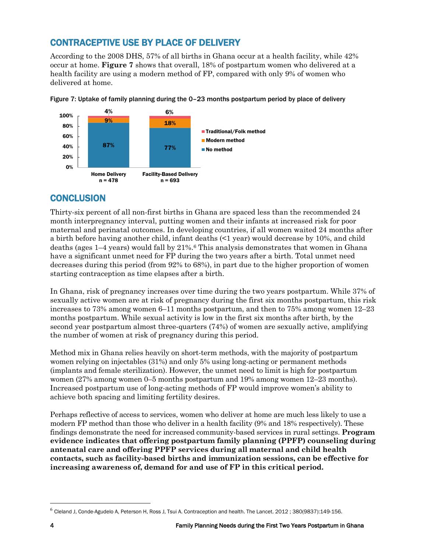## CONTRACEPTIVE USE BY PLACE OF DELIVERY

According to the 2008 DHS, 57% of all births in Ghana occur at a health facility, while 42% occur at home. **Figure 7** shows that overall, 18% of postpartum women who delivered at a health facility are using a modern method of FP, compared with only 9% of women who delivered at home.



Figure 7: Uptake of family planning during the 0–23 months postpartum period by place of delivery

#### **CONCLUSION**

Thirty-six percent of all non-first births in Ghana are spaced less than the recommended 24 month interpregnancy interval, putting women and their infants at increased risk for poor maternal and perinatal outcomes. In developing countries, if all women waited 24 months after a birth before having another child, infant deaths (<1 year) would decrease by 10%, and child deaths (ages  $1-4$  years) would fall by  $21\%$ .<sup>[6](#page-3-0)</sup> This analysis demonstrates that women in Ghana have a significant unmet need for FP during the two years after a birth. Total unmet need decreases during this period (from 92% to 68%), in part due to the higher proportion of women starting contraception as time elapses after a birth.

In Ghana, risk of pregnancy increases over time during the two years postpartum. While 37% of sexually active women are at risk of pregnancy during the first six months postpartum, this risk increases to 73% among women 6–11 months postpartum, and then to 75% among women 12–23 months postpartum. While sexual activity is low in the first six months after birth, by the second year postpartum almost three-quarters (74%) of women are sexually active, amplifying the number of women at risk of pregnancy during this period.

Method mix in Ghana relies heavily on short-term methods, with the majority of postpartum women relying on injectables (31%) and only 5% using long-acting or permanent methods (implants and female sterilization). However, the unmet need to limit is high for postpartum women (27% among women 0–5 months postpartum and 19% among women 12–23 months). Increased postpartum use of long-acting methods of FP would improve women's ability to achieve both spacing and limiting fertility desires.

Perhaps reflective of access to services, women who deliver at home are much less likely to use a modern FP method than those who deliver in a health facility (9% and 18% respectively). These findings demonstrate the need for increased community-based services in rural settings. **Program evidence indicates that offering postpartum family planning (PPFP) counseling during antenatal care and offering PPFP services during all maternal and child health contacts, such as facility-based births and immunization sessions, can be effective for increasing awareness of, demand for and use of FP in this critical period.**

<span id="page-3-0"></span> $^6$  Cleland J, Conde-Agudelo A, Peterson H, Ross J, Tsui A. Contraception and health. The Lancet. 2012; 380(9837):149-156.